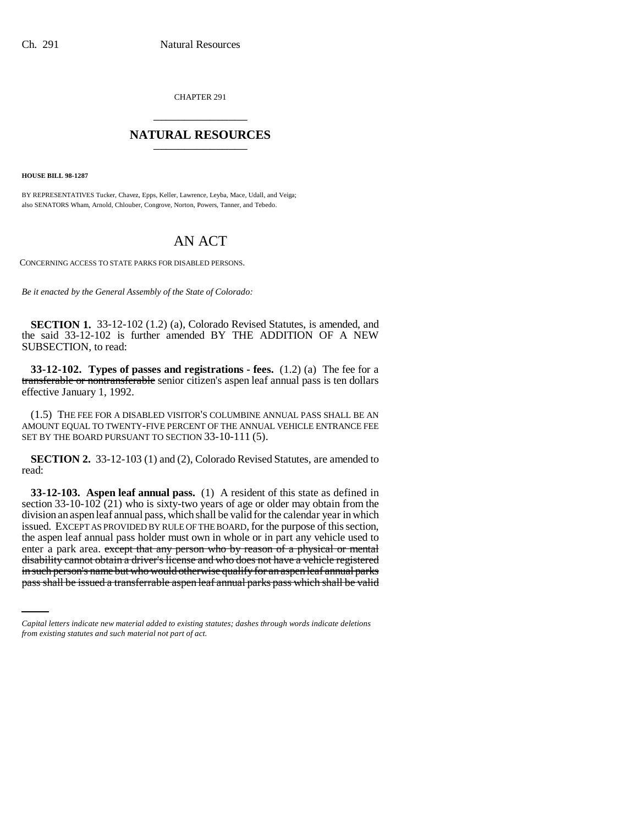CHAPTER 291 \_\_\_\_\_\_\_\_\_\_\_\_\_\_\_

## **NATURAL RESOURCES** \_\_\_\_\_\_\_\_\_\_\_\_\_\_\_

**HOUSE BILL 98-1287**

BY REPRESENTATIVES Tucker, Chavez, Epps, Keller, Lawrence, Leyba, Mace, Udall, and Veiga; also SENATORS Wham, Arnold, Chlouber, Congrove, Norton, Powers, Tanner, and Tebedo.

## AN ACT

CONCERNING ACCESS TO STATE PARKS FOR DISABLED PERSONS.

*Be it enacted by the General Assembly of the State of Colorado:*

**SECTION 1.** 33-12-102 (1.2) (a), Colorado Revised Statutes, is amended, and the said 33-12-102 is further amended BY THE ADDITION OF A NEW SUBSECTION, to read:

**33-12-102. Types of passes and registrations - fees.** (1.2) (a) The fee for a transferable or nontransferable senior citizen's aspen leaf annual pass is ten dollars effective January 1, 1992.

(1.5) THE FEE FOR A DISABLED VISITOR'S COLUMBINE ANNUAL PASS SHALL BE AN AMOUNT EQUAL TO TWENTY-FIVE PERCENT OF THE ANNUAL VEHICLE ENTRANCE FEE SET BY THE BOARD PURSUANT TO SECTION 33-10-111 (5).

**SECTION 2.** 33-12-103 (1) and (2), Colorado Revised Statutes, are amended to read:

disability cannot obtain a driver's license and who does not have a vehicle registered **33-12-103. Aspen leaf annual pass.** (1) A resident of this state as defined in section 33-10-102 (21) who is sixty-two years of age or older may obtain from the division an aspen leaf annual pass, which shall be valid for the calendar year in which issued. EXCEPT AS PROVIDED BY RULE OF THE BOARD, for the purpose of this section, the aspen leaf annual pass holder must own in whole or in part any vehicle used to enter a park area. except that any person who by reason of a physical or mental in such person's name but who would otherwise qualify for an aspen leaf annual parks pass shall be issued a transferrable aspen leaf annual parks pass which shall be valid

*Capital letters indicate new material added to existing statutes; dashes through words indicate deletions from existing statutes and such material not part of act.*